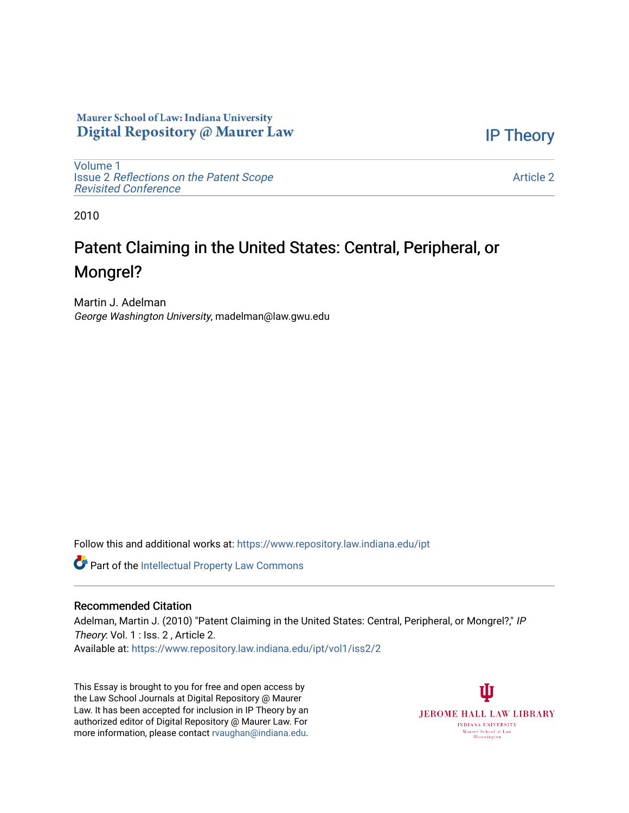## Maurer School of Law: Indiana University Digital Repository @ Maurer Law

[IP Theory](https://www.repository.law.indiana.edu/ipt) 

[Volume 1](https://www.repository.law.indiana.edu/ipt/vol1) Issue 2 [Reflections on the Patent Scope](https://www.repository.law.indiana.edu/ipt/vol1/iss2)  [Revisited Conference](https://www.repository.law.indiana.edu/ipt/vol1/iss2)

[Article 2](https://www.repository.law.indiana.edu/ipt/vol1/iss2/2) 

2010

## Patent Claiming in the United States: Central, Peripheral, or Mongrel?

Martin J. Adelman George Washington University, madelman@law.gwu.edu

Follow this and additional works at: [https://www.repository.law.indiana.edu/ipt](https://www.repository.law.indiana.edu/ipt?utm_source=www.repository.law.indiana.edu%2Fipt%2Fvol1%2Fiss2%2F2&utm_medium=PDF&utm_campaign=PDFCoverPages) 

**Part of the Intellectual Property Law Commons** 

## Recommended Citation

Adelman, Martin J. (2010) "Patent Claiming in the United States: Central, Peripheral, or Mongrel?," IP Theory: Vol. 1 : Iss. 2, Article 2. Available at: [https://www.repository.law.indiana.edu/ipt/vol1/iss2/2](https://www.repository.law.indiana.edu/ipt/vol1/iss2/2?utm_source=www.repository.law.indiana.edu%2Fipt%2Fvol1%2Fiss2%2F2&utm_medium=PDF&utm_campaign=PDFCoverPages) 

This Essay is brought to you for free and open access by the Law School Journals at Digital Repository @ Maurer Law. It has been accepted for inclusion in IP Theory by an authorized editor of Digital Repository @ Maurer Law. For more information, please contact [rvaughan@indiana.edu](mailto:rvaughan@indiana.edu).

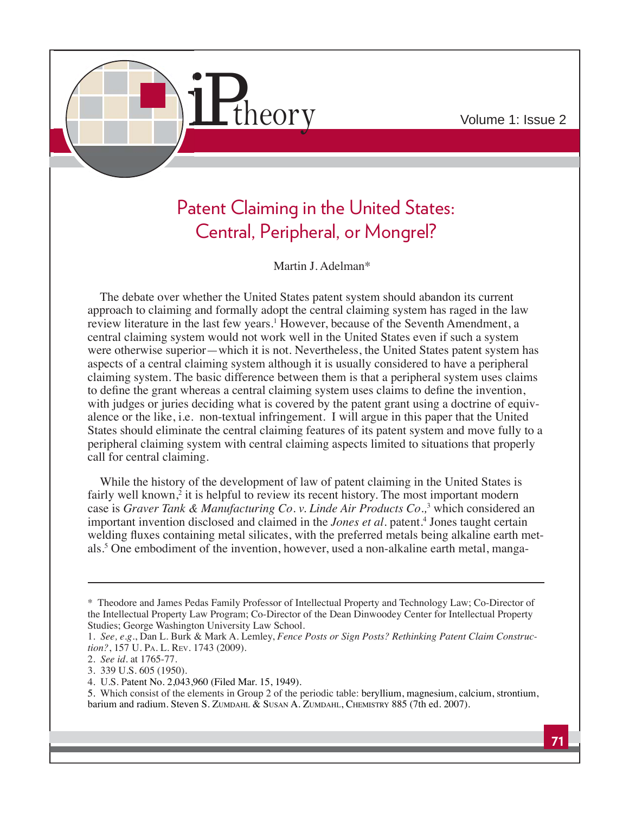

## Patent Claiming in the United States: Central, Peripheral, or Mongrel?

Martin J. Adelman\*

The debate over whether the United States patent system should abandon its current approach to claiming and formally adopt the central claiming system has raged in the law review literature in the last few years.<sup>1</sup> However, because of the Seventh Amendment, a central claiming system would not work well in the United States even if such a system were otherwise superior—which it is not. Nevertheless, the United States patent system has aspects of a central claiming system although it is usually considered to have a peripheral claiming system. The basic difference between them is that a peripheral system uses claims to define the grant whereas a central claiming system uses claims to define the invention, with judges or juries deciding what is covered by the patent grant using a doctrine of equivalence or the like, i.e. non-textual infringement. I will argue in this paper that the United States should eliminate the central claiming features of its patent system and move fully to a peripheral claiming system with central claiming aspects limited to situations that properly call for central claiming.

While the history of the development of law of patent claiming in the United States is fairly well known,<sup>2</sup> it is helpful to review its recent history. The most important modern case is *Graver Tank & Manufacturing Co. v. Linde Air Products Co.,*<sup>3</sup> which considered an important invention disclosed and claimed in the *Jones et al*. patent.<sup>4</sup> Jones taught certain welding fluxes containing metal silicates, with the preferred metals being alkaline earth metals.5 One embodiment of the invention, however, used a non-alkaline earth metal, manga-

<sup>\*</sup> Theodore and James Pedas Family Professor of Intellectual Property and Technology Law; Co-Director of the Intellectual Property Law Program; Co-Director of the Dean Dinwoodey Center for Intellectual Property Studies; George Washington University Law School.

<sup>1.</sup> *See, e.g.*, Dan L. Burk & Mark A. Lemley, *Fence Posts or Sign Posts? Rethinking Patent Claim Construction?*, 157 U. PA. L. REV. 1743 (2009).

<sup>2.</sup> *See id.* at 1765-77.

<sup>3. 339</sup> U.S. 605 (1950).

<sup>4.</sup> U.S. Patent No. 2,043,960 (Filed Mar. 15, 1949).

<sup>5.</sup> Which consist of the elements in Group 2 of the periodic table: beryllium, magnesium, calcium, strontium, barium and radium. Steven S. ZUMDAHL & SUSAN A. ZUMDAHL, CHEMISTRY 885 (7th ed. 2007).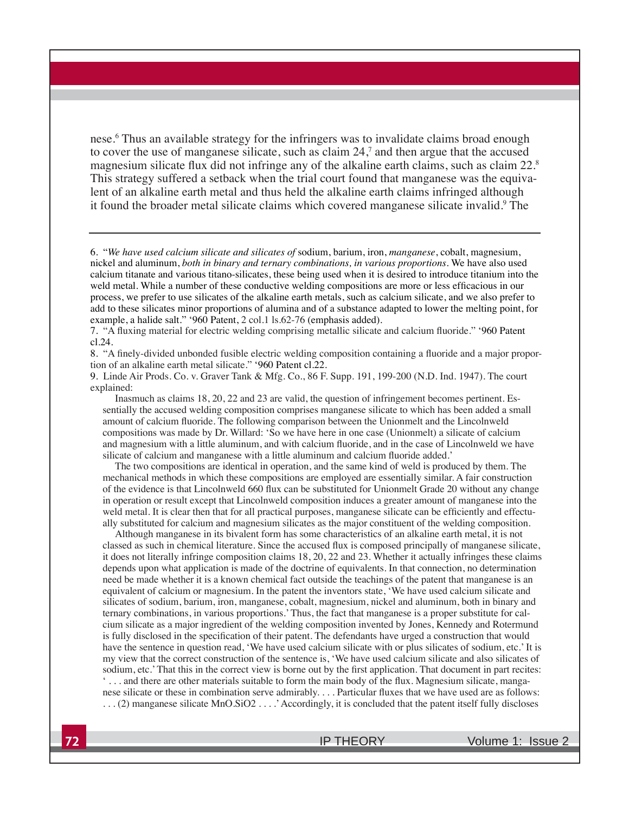nese.6 Thus an available strategy for the infringers was to invalidate claims broad enough to cover the use of manganese silicate, such as claim  $24$ , and then argue that the accused magnesium silicate flux did not infringe any of the alkaline earth claims, such as claim  $22<sup>8</sup>$ This strategy suffered a setback when the trial court found that manganese was the equivalent of an alkaline earth metal and thus held the alkaline earth claims infringed although it found the broader metal silicate claims which covered manganese silicate invalid.<sup>9</sup> The

7. "A fluxing material for electric welding comprising metallic silicate and calcium fluoride." '960 Patent cl.24.

8. "A finely-divided unbonded fusible electric welding composition containing a fluoride and a major proportion of an alkaline earth metal silicate." '960 Patent cl.22.

9. Linde Air Prods. Co. v. Graver Tank & Mfg. Co., 86 F. Supp. 191, 199-200 (N.D. Ind. 1947). The court explained:

Inasmuch as claims 18, 20, 22 and 23 are valid, the question of infringement becomes pertinent. Essentially the accused welding composition comprises manganese silicate to which has been added a small amount of calcium fluoride. The following comparison between the Unionmelt and the Lincolnweld compositions was made by Dr. Willard: 'So we have here in one case (Unionmelt) a silicate of calcium and magnesium with a little aluminum, and with calcium fluoride, and in the case of Lincolnweld we have silicate of calcium and manganese with a little aluminum and calcium fluoride added.'

The two compositions are identical in operation, and the same kind of weld is produced by them. The mechanical methods in which these compositions are employed are essentially similar. A fair construction of the evidence is that Lincolnweld 660 flux can be substituted for Unionmelt Grade 20 without any change in operation or result except that Lincolnweld composition induces a greater amount of manganese into the weld metal. It is clear then that for all practical purposes, manganese silicate can be efficiently and effectually substituted for calcium and magnesium silicates as the major constituent of the welding composition.

Although manganese in its bivalent form has some characteristics of an alkaline earth metal, it is not classed as such in chemical literature. Since the accused flux is composed principally of manganese silicate, it does not literally infringe composition claims 18, 20, 22 and 23. Whether it actually infringes these claims depends upon what application is made of the doctrine of equivalents. In that connection, no determination need be made whether it is a known chemical fact outside the teachings of the patent that manganese is an equivalent of calcium or magnesium. In the patent the inventors state, 'We have used calcium silicate and silicates of sodium, barium, iron, manganese, cobalt, magnesium, nickel and aluminum, both in binary and ternary combinations, in various proportions. Thus, the fact that manganese is a proper substitute for calcium silicate as a major ingredient of the welding composition invented by Jones, Kennedy and Rotermund is fully disclosed in the specification of their patent. The defendants have urged a construction that would have the sentence in question read, 'We have used calcium silicate with or plus silicates of sodium, etc.' It is my view that the correct construction of the sentence is, 'We have used calcium silicate and also silicates of sodium, etc.' That this in the correct view is borne out by the first application. That document in part recites: <sup>e</sup>... and there are other materials suitable to form the main body of the flux. Magnesium silicate, manganese silicate or these in combination serve admirably.... Particular fluxes that we have used are as follows:  $\ldots$  (2) manganese silicate MnO.SiO2 $\ldots$ . Accordingly, it is concluded that the patent itself fully discloses

<sup>6. &</sup>quot;*We have used calcium silicate and silicates of* sodium, barium, iron, *manganese*, cobalt, magnesium, nickel and aluminum, *both in binary and ternary combinations, in various proportions.* We have also used calcium titanate and various titano-silicates, these being used when it is desired to introduce titanium into the weld metal. While a number of these conductive welding compositions are more or less efficacious in our process, we prefer to use silicates of the alkaline earth metals, such as calcium silicate, and we also prefer to add to these silicates minor proportions of alumina and of a substance adapted to lower the melting point, for example, a halide salt." '960 Patent, 2 col.1 ls.62-76 (emphasis added).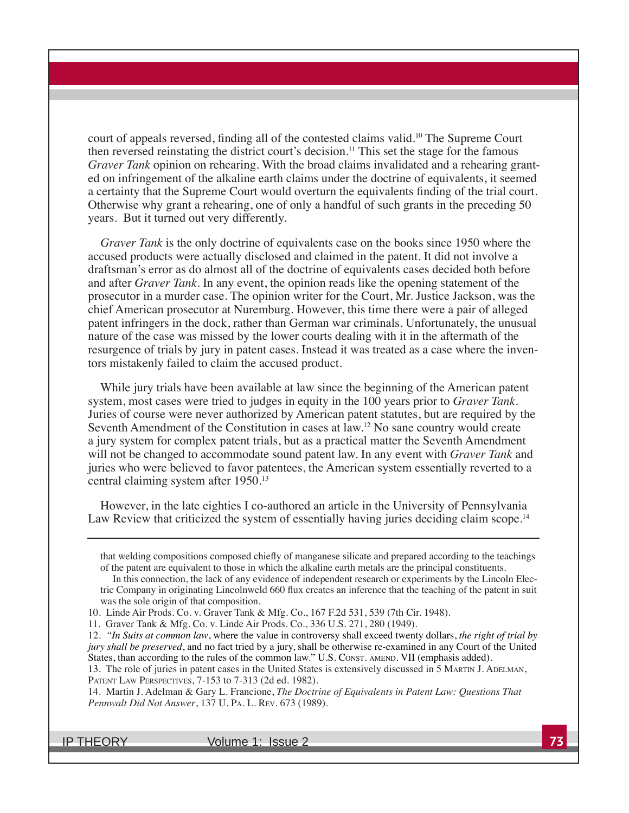court of appeals reversed, finding all of the contested claims valid.<sup>10</sup> The Supreme Court then reversed reinstating the district court's decision.<sup>11</sup> This set the stage for the famous *Graver Tank* opinion on rehearing. With the broad claims invalidated and a rehearing granted on infringement of the alkaline earth claims under the doctrine of equivalents, it seemed a certainty that the Supreme Court would overturn the equivalents finding of the trial court. Otherwise why grant a rehearing, one of only a handful of such grants in the preceding 50 years. But it turned out very differently.

*Graver Tank* is the only doctrine of equivalents case on the books since 1950 where the accused products were actually disclosed and claimed in the patent. It did not involve a draftsman's error as do almost all of the doctrine of equivalents cases decided both before and after *Graver Tank*. In any event, the opinion reads like the opening statement of the prosecutor in a murder case. The opinion writer for the Court, Mr. Justice Jackson, was the chief American prosecutor at Nuremburg. However, this time there were a pair of alleged patent infringers in the dock, rather than German war criminals. Unfortunately, the unusual nature of the case was missed by the lower courts dealing with it in the aftermath of the resurgence of trials by jury in patent cases. Instead it was treated as a case where the inventors mistakenly failed to claim the accused product.

While jury trials have been available at law since the beginning of the American patent system, most cases were tried to judges in equity in the 100 years prior to *Graver Tank*. Juries of course were never authorized by American patent statutes, but are required by the Seventh Amendment of the Constitution in cases at law.12 No sane country would create a jury system for complex patent trials, but as a practical matter the Seventh Amendment will not be changed to accommodate sound patent law. In any event with *Graver Tank* and juries who were believed to favor patentees, the American system essentially reverted to a central claiming system after 1950.13

However, in the late eighties I co-authored an article in the University of Pennsylvania Law Review that criticized the system of essentially having juries deciding claim scope.<sup>14</sup>

12. *"In Suits at common law*, where the value in controversy shall exceed twenty dollars, *the right of trial by jury shall be preserved*, and no fact tried by a jury, shall be otherwise re-examined in any Court of the United States, than according to the rules of the common law." U.S. CONST. AMEND. VII (emphasis added).

13. The role of juries in patent cases in the United States is extensively discussed in 5 MARTIN J. ADELMAN, PATENT LAW PERSPECTIVES, 7-153 to 7-313 (2d ed. 1982).

14. Martin J. Adelman & Gary L. Francione, *The Doctrine of Equivalents in Patent Law: Questions That Pennwalt Did Not Answer*, 137 U. PA. L. REV. 673 (1989).

that welding compositions composed chiefly of manganese silicate and prepared according to the teachings of the patent are equivalent to those in which the alkaline earth metals are the principal constituents.

In this connection, the lack of any evidence of independent research or experiments by the Lincoln Electric Company in originating Lincolnweld 660 flux creates an inference that the teaching of the patent in suit was the sole origin of that composition.

<sup>10.</sup> Linde Air Prods. Co. v. Graver Tank & Mfg. Co., 167 F.2d 531, 539 (7th Cir. 1948).

<sup>11.</sup> Graver Tank & Mfg. Co. v. Linde Air Prods. Co., 336 U.S. 271, 280 (1949).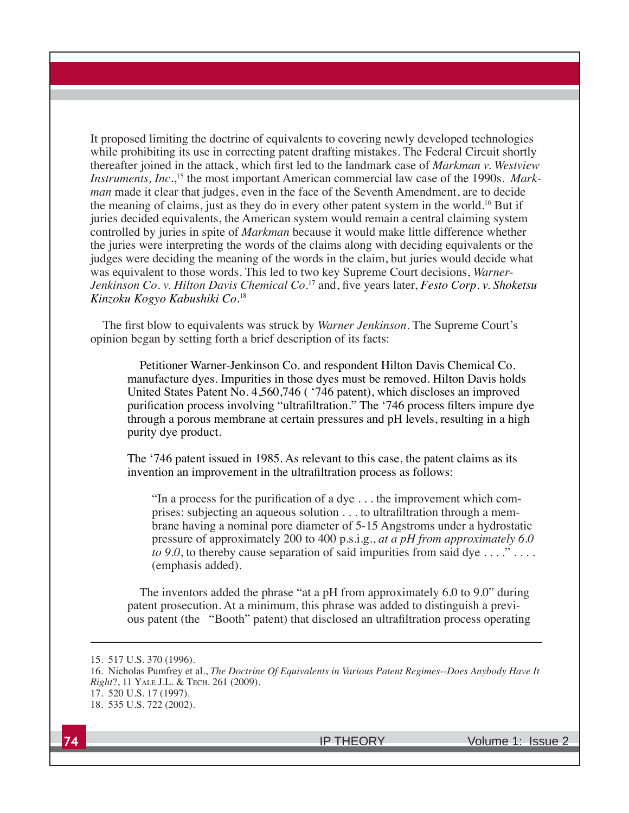It proposed limiting the doctrine of equivalents to covering newly developed technologies while prohibiting its use in correcting patent drafting mistakes. The Federal Circuit shortly thereafter joined in the attack, which first led to the landmark case of *Markman v. Westview Instruments, Inc.*,<sup>15</sup> the most important American commercial law case of the 1990s. *Markman* made it clear that judges, even in the face of the Seventh Amendment, are to decide the meaning of claims, just as they do in every other patent system in the world.16 But if juries decided equivalents, the American system would remain a central claiming system controlled by juries in spite of *Markman* because it would make little difference whether the juries were interpreting the words of the claims along with deciding equivalents or the judges were deciding the meaning of the words in the claim, but juries would decide what was equivalent to those words. This led to two key Supreme Court decisions, *Warner-Jenkinson Co. v. Hilton Davis Chemical Co.*<sup>17</sup> and, five years later, *Festo Corp. v. Shoketsu Kinzoku Kogyo Kabushiki Co*. 18

The first blow to equivalents was struck by *Warner Jenkinson*. The Supreme Court's opinion began by setting forth a brief description of its facts:

Petitioner Warner-Jenkinson Co. and respondent Hilton Davis Chemical Co. manufacture dyes. Impurities in those dyes must be removed. Hilton Davis holds United States Patent No. 4,560,746 ( '746 patent), which discloses an improved purification process involving "ultrafiltration." The '746 process filters impure dye through a porous membrane at certain pressures and pH levels, resulting in a high purity dye product.

The '746 patent issued in 1985. As relevant to this case, the patent claims as its invention an improvement in the ultrafiltration process as follows:

"In a process for the purification of a dye  $\dots$  the improvement which comprises: subjecting an aqueous solution . . . to ultrafiltration through a membrane having a nominal pore diameter of 5-15 Angstroms under a hydrostatic pressure of approximately 200 to 400 p.s.i.g., *at a pH from approximately 6.0 to 9.0*, to thereby cause separation of said impurities from said dye  $\dots$ ." $\dots$ (emphasis added).

The inventors added the phrase "at a pH from approximately 6.0 to 9.0" during patent prosecution. At a minimum, this phrase was added to distinguish a previous patent (the "Booth" patent) that disclosed an ultrafiltration process operating

<sup>15. 517</sup> U.S. 370 (1996).

<sup>16.</sup> Nicholas Pumfrey et al., *The Doctrine Of Equivalents in Various Patent Regimes--Does Anybody Have It Right*?, 11 YALE J.L. & TECH. 261 (2009). 17. 520 U.S. 17 (1997). 18. 535 U.S. 722 (2002).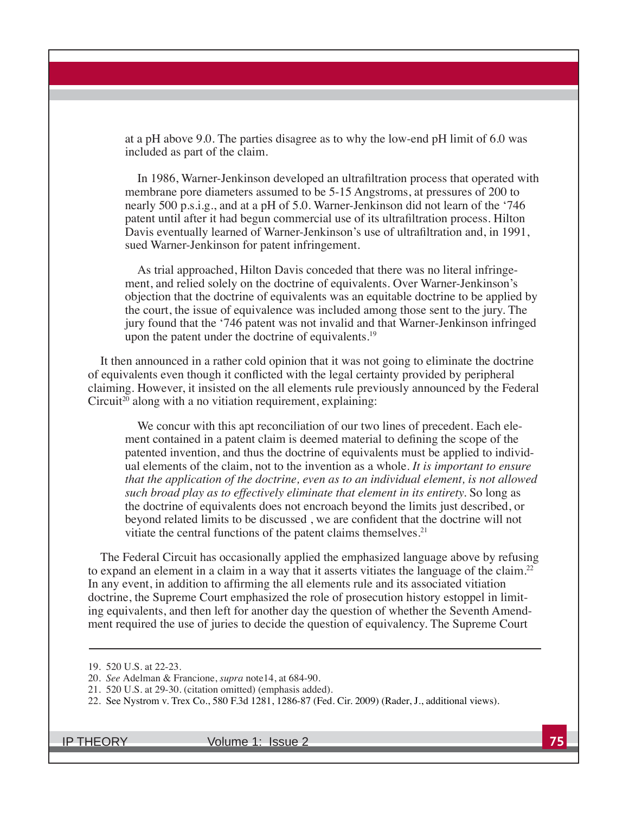at a pH above 9.0. The parties disagree as to why the low-end pH limit of 6.0 was included as part of the claim.

In 1986, Warner-Jenkinson developed an ultrafiltration process that operated with membrane pore diameters assumed to be 5-15 Angstroms, at pressures of 200 to nearly 500 p.s.i.g., and at a pH of 5.0. Warner-Jenkinson did not learn of the '746 patent until after it had begun commercial use of its ultrafiltration process. Hilton Davis eventually learned of Warner-Jenkinson's use of ultrafiltration and, in 1991, sued Warner-Jenkinson for patent infringement.

As trial approached, Hilton Davis conceded that there was no literal infringement, and relied solely on the doctrine of equivalents. Over Warner-Jenkinson's objection that the doctrine of equivalents was an equitable doctrine to be applied by the court, the issue of equivalence was included among those sent to the jury. The jury found that the '746 patent was not invalid and that Warner-Jenkinson infringed upon the patent under the doctrine of equivalents.<sup>19</sup>

It then announced in a rather cold opinion that it was not going to eliminate the doctrine of equivalents even though it conflicted with the legal certainty provided by peripheral claiming. However, it insisted on the all elements rule previously announced by the Federal Circuit<sup>20</sup> along with a no vitiation requirement, explaining:

We concur with this apt reconciliation of our two lines of precedent. Each element contained in a patent claim is deemed material to defining the scope of the patented invention, and thus the doctrine of equivalents must be applied to individual elements of the claim, not to the invention as a whole. *It is important to ensure that the application of the doctrine, even as to an individual element, is not allowed such broad play as to effectively eliminate that element in its entirety.* So long as the doctrine of equivalents does not encroach beyond the limits just described, or beyond related limits to be discussed, we are confident that the doctrine will not vitiate the central functions of the patent claims themselves.<sup>21</sup>

The Federal Circuit has occasionally applied the emphasized language above by refusing to expand an element in a claim in a way that it asserts vitiates the language of the claim.<sup>22</sup> In any event, in addition to affirming the all elements rule and its associated vitiation doctrine, the Supreme Court emphasized the role of prosecution history estoppel in limiting equivalents, and then left for another day the question of whether the Seventh Amendment required the use of juries to decide the question of equivalency. The Supreme Court

<sup>19. 520</sup> U.S. at 22-23.

<sup>20.</sup> *See* Adelman & Francione, *supra* note14, at 684-90.

<sup>21. 520</sup> U.S. at 29-30. (citation omitted) (emphasis added).

<sup>22.</sup> See Nystrom v. Trex Co., 580 F.3d 1281, 1286-87 (Fed. Cir. 2009) (Rader, J., additional views).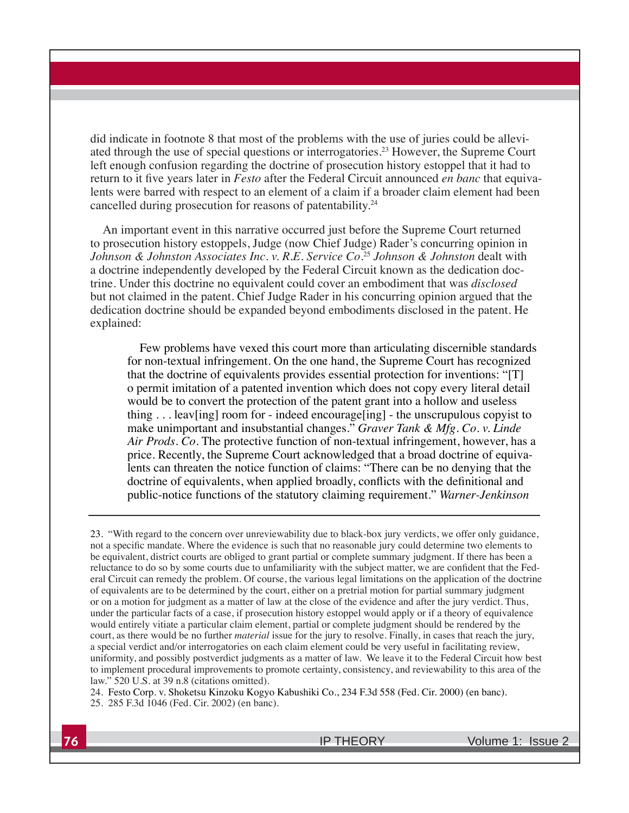did indicate in footnote 8 that most of the problems with the use of juries could be alleviated through the use of special questions or interrogatories.<sup>23</sup> However, the Supreme Court left enough confusion regarding the doctrine of prosecution history estoppel that it had to return to it five years later in *Festo* after the Federal Circuit announced *en banc* that equivalents were barred with respect to an element of a claim if a broader claim element had been cancelled during prosecution for reasons of patentability.<sup>24</sup>

An important event in this narrative occurred just before the Supreme Court returned to prosecution history estoppels, Judge (now Chief Judge) Rader's concurring opinion in *Johnson & Johnston Associates Inc. v. R.E. Service Co.*<sup>25</sup> *Johnson & Johnston* dealt with a doctrine independently developed by the Federal Circuit known as the dedication doctrine. Under this doctrine no equivalent could cover an embodiment that was *disclosed* but not claimed in the patent. Chief Judge Rader in his concurring opinion argued that the dedication doctrine should be expanded beyond embodiments disclosed in the patent. He explained:

Few problems have vexed this court more than articulating discernible standards for non-textual infringement. On the one hand, the Supreme Court has recognized that the doctrine of equivalents provides essential protection for inventions: "[T] o permit imitation of a patented invention which does not copy every literal detail would be to convert the protection of the patent grant into a hollow and useless thing  $\dots$  leav[ing] room for - indeed encourage[ing] - the unscrupulous copyist to make unimportant and insubstantial changes." *Graver Tank & Mfg. Co. v. Linde Air Prods. Co.* The protective function of non-textual infringement, however, has a price. Recently, the Supreme Court acknowledged that a broad doctrine of equivalents can threaten the notice function of claims: "There can be no denying that the doctrine of equivalents, when applied broadly, conflicts with the definitional and public-notice functions of the statutory claiming requirement." *Warner-Jenkinson* 

23. "With regard to the concern over unreviewability due to black-box jury verdicts, we offer only guidance, not a specific mandate. Where the evidence is such that no reasonable jury could determine two elements to be equivalent, district courts are obliged to grant partial or complete summary judgment. If there has been a reluctance to do so by some courts due to unfamiliarity with the subject matter, we are confident that the Federal Circuit can remedy the problem. Of course, the various legal limitations on the application of the doctrine of equivalents are to be determined by the court, either on a pretrial motion for partial summary judgment or on a motion for judgment as a matter of law at the close of the evidence and after the jury verdict. Thus, under the particular facts of a case, if prosecution history estoppel would apply or if a theory of equivalence would entirely vitiate a particular claim element, partial or complete judgment should be rendered by the court, as there would be no further *material* issue for the jury to resolve. Finally, in cases that reach the jury, a special verdict and/or interrogatories on each claim element could be very useful in facilitating review, uniformity, and possibly postverdict judgments as a matter of law. We leave it to the Federal Circuit how best to implement procedural improvements to promote certainty, consistency, and reviewability to this area of the law." 520 U.S. at 39 n.8 (citations omitted).

24. Festo Corp. v. Shoketsu Kinzoku Kogyo Kabushiki Co., 234 F.3d 558 (Fed. Cir. 2000) (en banc).

<sup>25. 285</sup> F.3d 1046 (Fed. Cir. 2002) (en banc).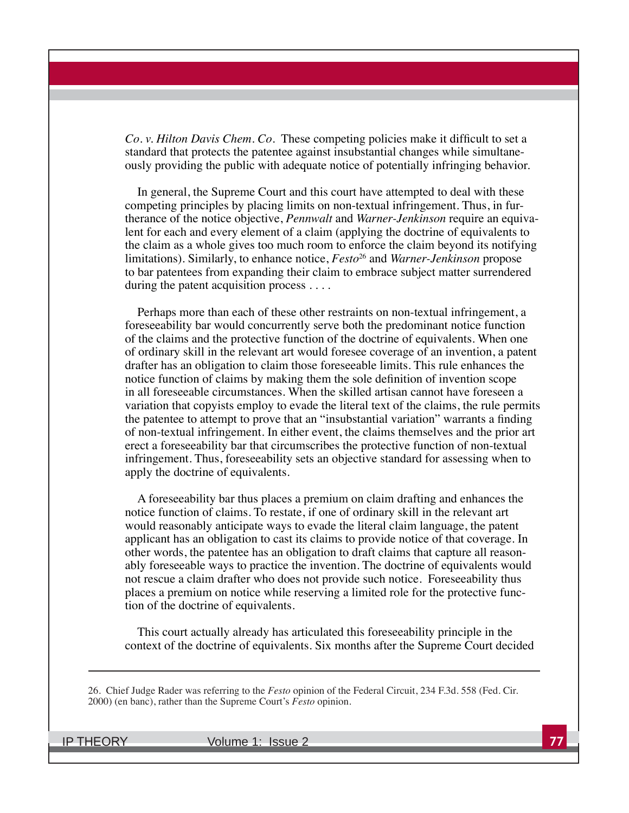*Co. v. Hilton Davis Chem. Co.* These competing policies make it difficult to set a standard that protects the patentee against insubstantial changes while simultaneously providing the public with adequate notice of potentially infringing behavior.

In general, the Supreme Court and this court have attempted to deal with these competing principles by placing limits on non-textual infringement. Thus, in furtherance of the notice objective, *Pennwalt* and *Warner-Jenkinson* require an equivalent for each and every element of a claim (applying the doctrine of equivalents to the claim as a whole gives too much room to enforce the claim beyond its notifying limitations). Similarly, to enhance notice, *Festo*26 and *Warner-Jenkinson* propose to bar patentees from expanding their claim to embrace subject matter surrendered during the patent acquisition process . . . .

Perhaps more than each of these other restraints on non-textual infringement, a foreseeability bar would concurrently serve both the predominant notice function of the claims and the protective function of the doctrine of equivalents. When one of ordinary skill in the relevant art would foresee coverage of an invention, a patent drafter has an obligation to claim those foreseeable limits. This rule enhances the notice function of claims by making them the sole definition of invention scope in all foreseeable circumstances. When the skilled artisan cannot have foreseen a variation that copyists employ to evade the literal text of the claims, the rule permits the patentee to attempt to prove that an "insubstantial variation" warrants a finding of non-textual infringement. In either event, the claims themselves and the prior art erect a foreseeability bar that circumscribes the protective function of non-textual infringement. Thus, foreseeability sets an objective standard for assessing when to apply the doctrine of equivalents.

A foreseeability bar thus places a premium on claim drafting and enhances the notice function of claims. To restate, if one of ordinary skill in the relevant art would reasonably anticipate ways to evade the literal claim language, the patent applicant has an obligation to cast its claims to provide notice of that coverage. In other words, the patentee has an obligation to draft claims that capture all reasonably foreseeable ways to practice the invention. The doctrine of equivalents would not rescue a claim drafter who does not provide such notice. Foreseeability thus places a premium on notice while reserving a limited role for the protective function of the doctrine of equivalents.

This court actually already has articulated this foreseeability principle in the context of the doctrine of equivalents. Six months after the Supreme Court decided

26. Chief Judge Rader was referring to the *Festo* opinion of the Federal Circuit, 234 F.3d. 558 (Fed. Cir. 2000) (en banc), rather than the Supreme Court's Festo opinion.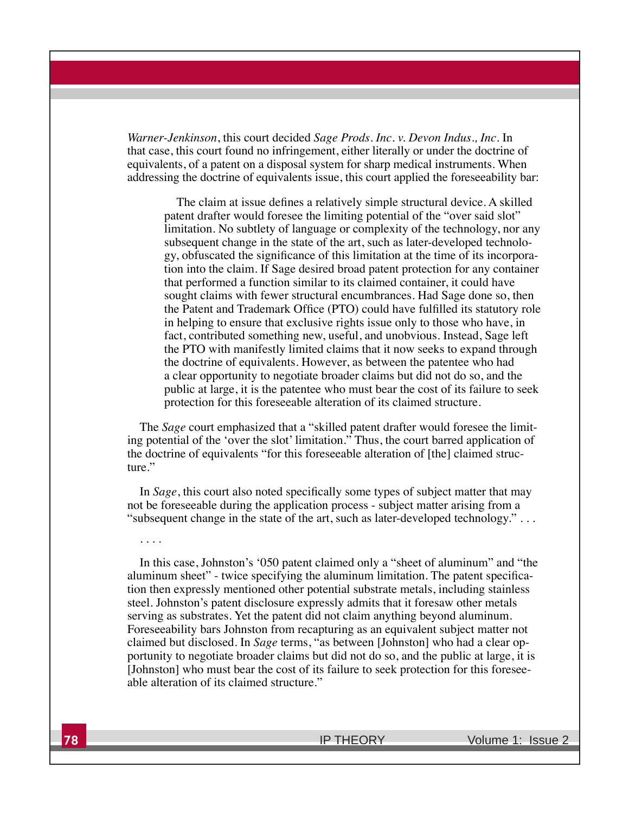*Warner-Jenkinson*, this court decided *Sage Prods. Inc. v. Devon Indus., Inc*. In that case, this court found no infringement, either literally or under the doctrine of equivalents, of a patent on a disposal system for sharp medical instruments. When addressing the doctrine of equivalents issue, this court applied the foreseeability bar:

The claim at issue defines a relatively simple structural device. A skilled patent drafter would foresee the limiting potential of the "over said slot" limitation. No subtlety of language or complexity of the technology, nor any subsequent change in the state of the art, such as later-developed technology, obfuscated the significance of this limitation at the time of its incorporation into the claim. If Sage desired broad patent protection for any container that performed a function similar to its claimed container, it could have sought claims with fewer structural encumbrances. Had Sage done so, then the Patent and Trademark Office (PTO) could have fulfilled its statutory role in helping to ensure that exclusive rights issue only to those who have, in fact, contributed something new, useful, and unobvious. Instead, Sage left the PTO with manifestly limited claims that it now seeks to expand through the doctrine of equivalents. However, as between the patentee who had a clear opportunity to negotiate broader claims but did not do so, and the public at large, it is the patentee who must bear the cost of its failure to seek protection for this foreseeable alteration of its claimed structure.

The *Sage* court emphasized that a "skilled patent drafter would foresee the limiting potential of the 'over the slot' limitation." Thus, the court barred application of the doctrine of equivalents "for this foreseeable alteration of [the] claimed structure."

In *Sage*, this court also noted specifically some types of subject matter that may not be foreseeable during the application process - subject matter arising from a "subsequent change in the state of the art, such as later-developed technology." . . .

In this case, Johnston's '050 patent claimed only a "sheet of aluminum" and "the aluminum sheet" - twice specifying the aluminum limitation. The patent specification then expressly mentioned other potential substrate metals, including stainless steel. Johnston's patent disclosure expressly admits that it foresaw other metals serving as substrates. Yet the patent did not claim anything beyond aluminum. Foreseeability bars Johnston from recapturing as an equivalent subject matter not claimed but disclosed. In *Sage* terms, "as between [Johnston] who had a clear opportunity to negotiate broader claims but did not do so, and the public at large, it is [Johnston] who must bear the cost of its failure to seek protection for this foreseeable alteration of its claimed structure."

. . . .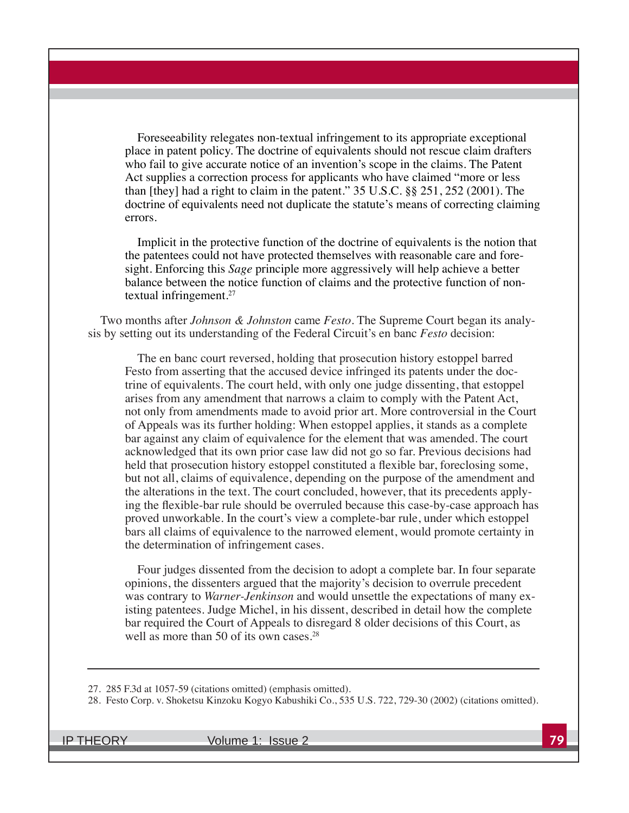Foreseeability relegates non-textual infringement to its appropriate exceptional place in patent policy. The doctrine of equivalents should not rescue claim drafters who fail to give accurate notice of an invention's scope in the claims. The Patent Act supplies a correction process for applicants who have claimed "more or less than [they] had a right to claim in the patent." 35 U.S.C. §§ 251, 252 (2001). The doctrine of equivalents need not duplicate the statute's means of correcting claiming errors.

Implicit in the protective function of the doctrine of equivalents is the notion that the patentees could not have protected themselves with reasonable care and foresight. Enforcing this *Sage* principle more aggressively will help achieve a better balance between the notice function of claims and the protective function of nontextual infringement.27

Two months after *Johnson & Johnston* came *Festo*. The Supreme Court began its analyis by setting out its understanding of the Federal Circuit's en banc *Festo* decision:

The en banc court reversed, holding that prosecution history estoppel barred Festo from asserting that the accused device infringed its patents under the doctrine of equivalents. The court held, with only one judge dissenting, that estoppel arises from any amendment that narrows a claim to comply with the Patent Act, not only from amendments made to avoid prior art. More controversial in the Court of Appeals was its further holding: When estoppel applies, it stands as a complete bar against any claim of equivalence for the element that was amended. The court acknowledged that its own prior case law did not go so far. Previous decisions had held that prosecution history estoppel constituted a flexible bar, foreclosing some, but not all, claims of equivalence, depending on the purpose of the amendment and the alterations in the text. The court concluded, however, that its precedents applying the flexible-bar rule should be overruled because this case-by-case approach has proved unworkable. In the court's view a complete-bar rule, under which estoppel bars all claims of equivalence to the narrowed element, would promote certainty in the determination of infringement cases.

Four judges dissented from the decision to adopt a complete bar. In four separate opinions, the dissenters argued that the majority's decision to overrule precedent was contrary to *Warner-Jenkinson* and would unsettle the expectations of many existing patentees. Judge Michel, in his dissent, described in detail how the complete bar required the Court of Appeals to disregard 8 older decisions of this Court, as well as more than 50 of its own cases.<sup>28</sup>

<sup>27. 285</sup> F.3d at 1057-59 (citations omitted) (emphasis omitted).

<sup>28.</sup> Festo Corp. v. Shoketsu Kinzoku Kogyo Kabushiki Co., 535 U.S. 722, 729-30 (2002) (citations omitted).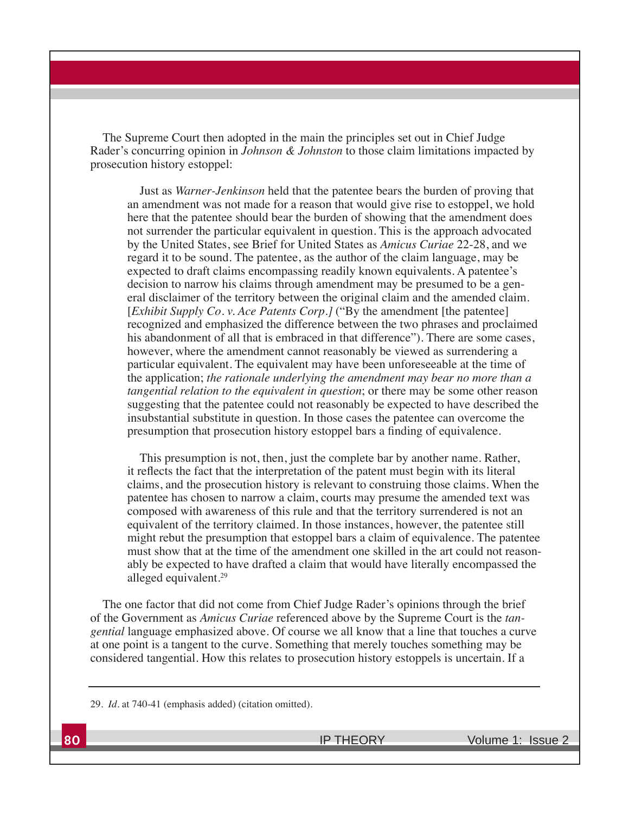The Supreme Court then adopted in the main the principles set out in Chief Judge Rader's concurring opinion in *Johnson & Johnston* to those claim limitations impacted by prosecution history estoppel:

Just as *Warner-Jenkinson* held that the patentee bears the burden of proving that an amendment was not made for a reason that would give rise to estoppel, we hold here that the patentee should bear the burden of showing that the amendment does not surrender the particular equivalent in question. This is the approach advocated by the United States, see Brief for United States as *Amicus Curiae* 22-28, and we regard it to be sound. The patentee, as the author of the claim language, may be expected to draft claims encompassing readily known equivalents. A patentee's decision to narrow his claims through amendment may be presumed to be a general disclaimer of the territory between the original claim and the amended claim. [*Exhibit Supply Co. v. Ace Patents Corp.]* ("By the amendment [the patentee] recognized and emphasized the difference between the two phrases and proclaimed his abandonment of all that is embraced in that difference"). There are some cases, however, where the amendment cannot reasonably be viewed as surrendering a particular equivalent. The equivalent may have been unforeseeable at the time of the application; *the rationale underlying the amendment may bear no more than a tangential relation to the equivalent in question*; or there may be some other reason suggesting that the patentee could not reasonably be expected to have described the insubstantial substitute in question. In those cases the patentee can overcome the presumption that prosecution history estoppel bars a finding of equivalence.

This presumption is not, then, just the complete bar by another name. Rather, it reflects the fact that the interpretation of the patent must begin with its literal claims, and the prosecution history is relevant to construing those claims. When the patentee has chosen to narrow a claim, courts may presume the amended text was composed with awareness of this rule and that the territory surrendered is not an equivalent of the territory claimed. In those instances, however, the patentee still might rebut the presumption that estoppel bars a claim of equivalence. The patentee must show that at the time of the amendment one skilled in the art could not reasonably be expected to have drafted a claim that would have literally encompassed the alleged equivalent.29

The one factor that did not come from Chief Judge Rader's opinions through the brief of the Government as *Amicus Curiae* referenced above by the Supreme Court is the *tangential* language emphasized above. Of course we all know that a line that touches a curve at one point is a tangent to the curve. Something that merely touches something may be considered tangential. How this relates to prosecution history estoppels is uncertain. If a

<sup>29.</sup> *Id.* at 740-41 (emphasis added) (citation omitted).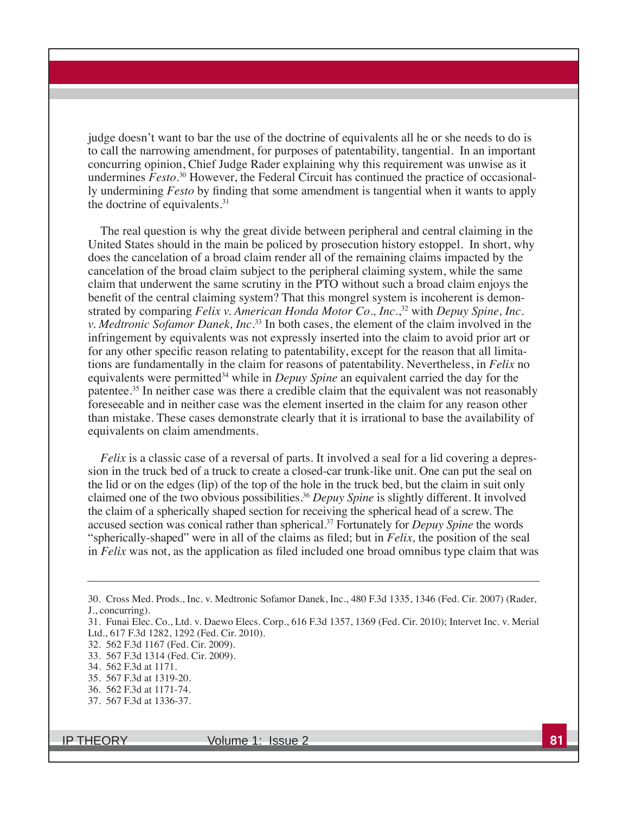judge doesn't want to bar the use of the doctrine of equivalents all he or she needs to do is to call the narrowing amendment, for purposes of patentability, tangential. In an important concurring opinion, Chief Judge Rader explaining why this requirement was unwise as it undermines *Festo*. 30 However, the Federal Circuit has continued the practice of occasionally undermining *Festo* by finding that some amendment is tangential when it wants to apply the doctrine of equivalents.<sup>31</sup>

The real question is why the great divide between peripheral and central claiming in the United States should in the main be policed by prosecution history estoppel. In short, why does the cancelation of a broad claim render all of the remaining claims impacted by the cancelation of the broad claim subject to the peripheral claiming system, while the same claim that underwent the same scrutiny in the PTO without such a broad claim enjoys the benefit of the central claiming system? That this mongrel system is incoherent is demonstrated by comparing *Felix v. American Honda Motor Co., Inc.*<sup>32</sup> with *Depuy Spine, Inc. v. Medtronic Sofamor Danek, Inc.*<sup>33</sup> In both cases, the element of the claim involved in the infringement by equivalents was not expressly inserted into the claim to avoid prior art or for any other specific reason relating to patentability, except for the reason that all limitations are fundamentally in the claim for reasons of patentability. Nevertheless, in *Felix* no equivalents were permitted<sup>34</sup> while in *Depuy Spine* an equivalent carried the day for the patentee.35 In neither case was there a credible claim that the equivalent was not reasonably foreseeable and in neither case was the element inserted in the claim for any reason other than mistake. These cases demonstrate clearly that it is irrational to base the availability of equivalents on claim amendments.

*Felix* is a classic case of a reversal of parts. It involved a seal for a lid covering a depression in the truck bed of a truck to create a closed-car trunk-like unit. One can put the seal on the lid or on the edges (lip) of the top of the hole in the truck bed, but the claim in suit only claimed one of the two obvious possibilities.<sup>36</sup> Depuy Spine is slightly different. It involved the claim of a spherically shaped section for receiving the spherical head of a screw. The accused section was conical rather than spherical.<sup>37</sup> Fortunately for *Depuy Spine* the words "spherically-shaped" were in all of the claims as filed; but in *Felix*, the position of the seal in *Felix* was not, as the application as filed included one broad omnibus type claim that was

<sup>30.</sup> Cross Med. Prods., Inc. v. Medtronic Sofamor Danek, Inc., 480 F.3d 1335, 1346 (Fed. Cir. 2007) (Rader, J., concurring).

<sup>31.</sup> Funai Elec. Co., Ltd. v. Daewo Elecs. Corp., 616 F.3d 1357, 1369 (Fed. Cir. 2010); Intervet Inc. v. Merial Ltd., 617 F.3d 1282, 1292 (Fed. Cir. 2010).

<sup>32. 562</sup> F.3d 1167 (Fed. Cir. 2009).

<sup>33. 567</sup> F.3d 1314 (Fed. Cir. 2009).

<sup>34. 562</sup> F.3d at 1171.

<sup>35. 567</sup> F.3d at 1319-20.

<sup>36. 562</sup> F.3d at 1171-74.

<sup>37. 567</sup> F.3d at 1336-37.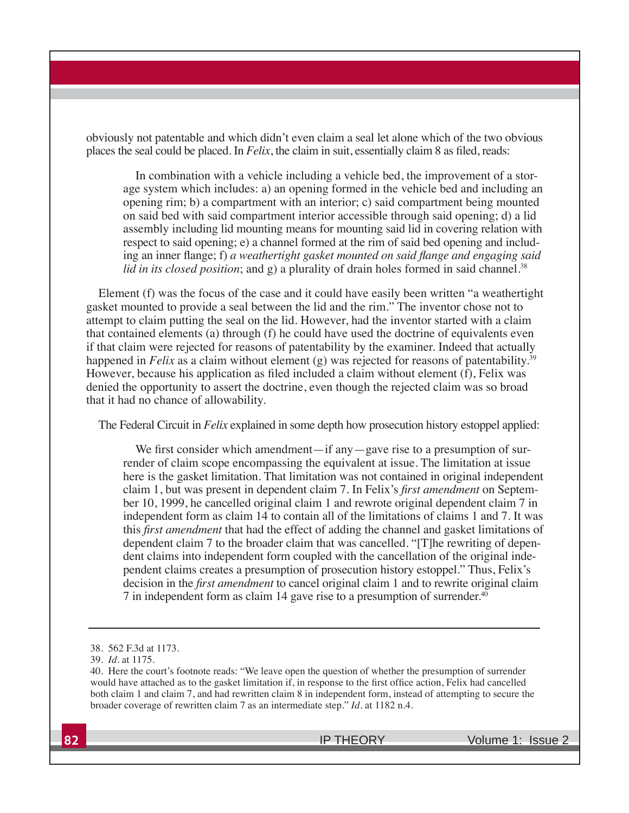obviously not patentable and which didn't even claim a seal let alone which of the two obvious places the seal could be placed. In *Felix*, the claim in suit, essentially claim  $\theta$  as filed, reads:

In combination with a vehicle including a vehicle bed, the improvement of a storage system which includes: a) an opening formed in the vehicle bed and including an opening rim; b) a compartment with an interior; c) said compartment being mounted on said bed with said compartment interior accessible through said opening; d) a lid assembly including lid mounting means for mounting said lid in covering relation with respect to said opening; e) a channel formed at the rim of said bed opening and including an inner flange; f) a weathertight gasket mounted on said flange and engaging said *lid in its closed position*; and g) a plurality of drain holes formed in said channel.<sup>38</sup>

Element (f) was the focus of the case and it could have easily been written "a weathertight gasket mounted to provide a seal between the lid and the rim." The inventor chose not to attempt to claim putting the seal on the lid. However, had the inventor started with a claim that contained elements (a) through (f) he could have used the doctrine of equivalents even if that claim were rejected for reasons of patentability by the examiner. Indeed that actually happened in *Felix* as a claim without element (g) was rejected for reasons of patentability.<sup>39</sup> However, because his application as filed included a claim without element (f), Felix was denied the opportunity to assert the doctrine, even though the rejected claim was so broad that it had no chance of allowability.

The Federal Circuit in *Felix* explained in some depth how prosecution history estoppel applied:

We first consider which amendment—if any—gave rise to a presumption of surrender of claim scope encompassing the equivalent at issue. The limitation at issue here is the gasket limitation. That limitation was not contained in original independent claim 1, but was present in dependent claim 7. In Felix's *first amendment* on September 10, 1999, he cancelled original claim 1 and rewrote original dependent claim 7 in independent form as claim 14 to contain all of the limitations of claims 1 and 7. It was this *first amendment* that had the effect of adding the channel and gasket limitations of dependent claim 7 to the broader claim that was cancelled. "[T]he rewriting of dependent claims into independent form coupled with the cancellation of the original independent claims creates a presumption of prosecution history estoppel." Thus, Felix's decision in the *first amendment* to cancel original claim 1 and to rewrite original claim 7 in independent form as claim 14 gave rise to a presumption of surrender.<sup>40</sup>

<sup>38. 562</sup> F.3d at 1173.

<sup>39.</sup> *Id.* at 1175.

<sup>40.</sup> Here the court's footnote reads: "We leave open the question of whether the presumption of surrender would have attached as to the gasket limitation if, in response to the first office action, Felix had cancelled both claim 1 and claim 7, and had rewritten claim 8 in independent form, instead of attempting to secure the broader coverage of rewritten claim 7 as an intermediate step." *Id.* at 1182 n.4.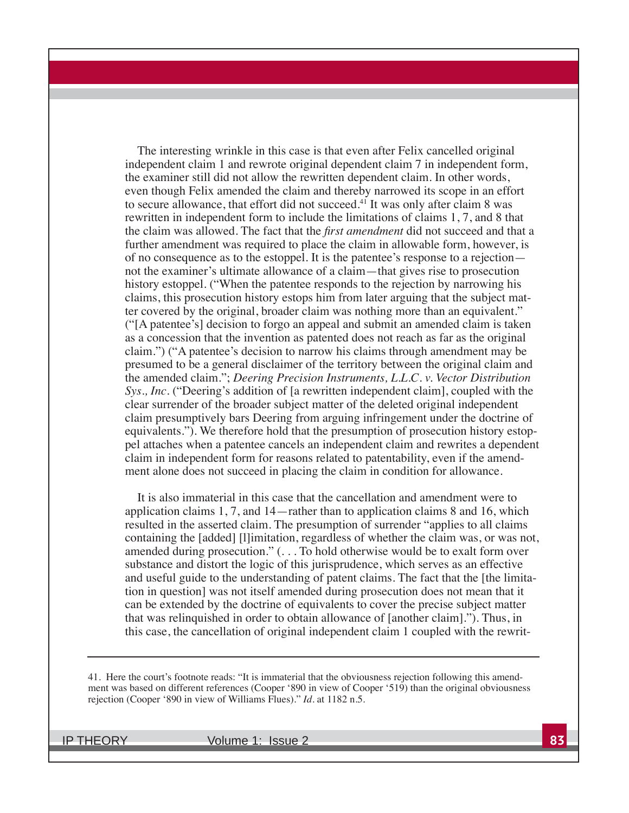The interesting wrinkle in this case is that even after Felix cancelled original independent claim 1 and rewrote original dependent claim 7 in independent form, the examiner still did not allow the rewritten dependent claim. In other words, even though Felix amended the claim and thereby narrowed its scope in an effort to secure allowance, that effort did not succeed.41 It was only after claim 8 was rewritten in independent form to include the limitations of claims 1, 7, and 8 that the claim was allowed. The fact that the *first amendment* did not succeed and that a further amendment was required to place the claim in allowable form, however, is of no consequence as to the estoppel. It is the patentee's response to a rejection not the examiner's ultimate allowance of a claim—that gives rise to prosecution history estoppel. ("When the patentee responds to the rejection by narrowing his claims, this prosecution history estops him from later arguing that the subject matter covered by the original, broader claim was nothing more than an equivalent."  $''$ [A patentee's] decision to forgo an appeal and submit an amended claim is taken as a concession that the invention as patented does not reach as far as the original claim.") ("A patentee's decision to narrow his claims through amendment may be presumed to be a general disclaimer of the territory between the original claim and the amended claim."; *Deering Precision Instruments, L.L.C. v. Vector Distribution Sys., Inc.* ("Deering's addition of [a rewritten independent claim], coupled with the clear surrender of the broader subject matter of the deleted original independent claim presumptively bars Deering from arguing infringement under the doctrine of equivalents."). We therefore hold that the presumption of prosecution history estoppel attaches when a patentee cancels an independent claim and rewrites a dependent claim in independent form for reasons related to patentability, even if the amendment alone does not succeed in placing the claim in condition for allowance.

It is also immaterial in this case that the cancellation and amendment were to application claims 1, 7, and 14—rather than to application claims 8 and 16, which resulted in the asserted claim. The presumption of surrender "applies to all claims containing the [added] [l]imitation, regardless of whether the claim was, or was not, amended during prosecution." (. . . To hold otherwise would be to exalt form over substance and distort the logic of this jurisprudence, which serves as an effective and useful guide to the understanding of patent claims. The fact that the [the limitation in question] was not itself amended during prosecution does not mean that it can be extended by the doctrine of equivalents to cover the precise subject matter that was relinquished in order to obtain allowance of [another claim]."). Thus, in this case, the cancellation of original independent claim 1 coupled with the rewrit-

41. Here the court's footnote reads: "It is immaterial that the obviousness rejection following this amendment was based on different references (Cooper '890 in view of Cooper '519) than the original obviousness rejection (Cooper '890 in view of Williams Flues)." *Id.* at 1182 n.5.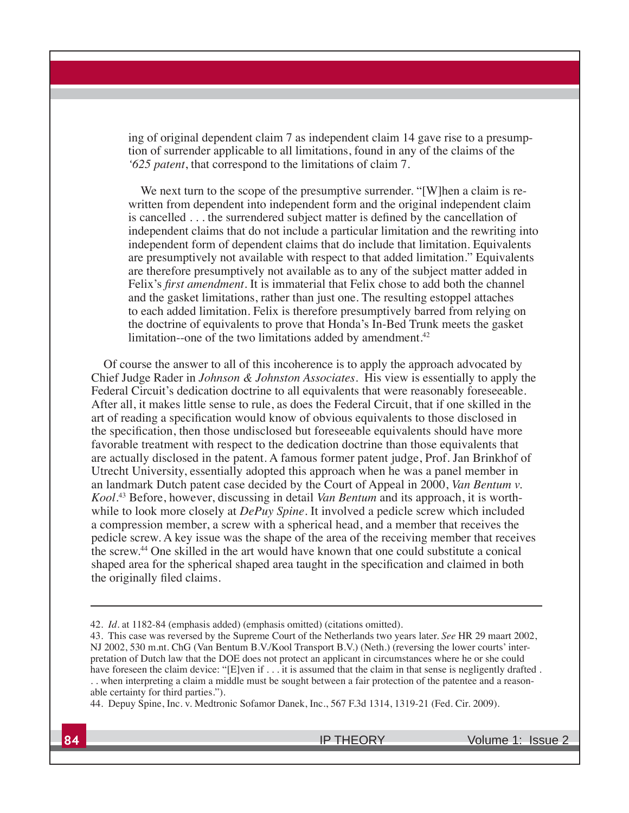ing of original dependent claim 7 as independent claim 14 gave rise to a presumption of surrender applicable to all limitations, found in any of the claims of the *'625 patent*, that correspond to the limitations of claim 7.

We next turn to the scope of the presumptive surrender. "[W]hen a claim is rewritten from dependent into independent form and the original independent claim is cancelled  $\ldots$  the surrendered subject matter is defined by the cancellation of independent claims that do not include a particular limitation and the rewriting into independent form of dependent claims that do include that limitation. Equivalents are presumptively not available with respect to that added limitation." Equivalents are therefore presumptively not available as to any of the subject matter added in Felix's *first amendment*. It is immaterial that Felix chose to add both the channel and the gasket limitations, rather than just one. The resulting estoppel attaches to each added limitation. Felix is therefore presumptively barred from relying on the doctrine of equivalents to prove that Honda's In-Bed Trunk meets the gasket limitation--one of the two limitations added by amendment. $42$ 

Of course the answer to all of this incoherence is to apply the approach advocated by Chief Judge Rader in *Johnson & Johnston Associates*. His view is essentially to apply the Federal Circuit's dedication doctrine to all equivalents that were reasonably foreseeable. After all, it makes little sense to rule, as does the Federal Circuit, that if one skilled in the art of reading a specification would know of obvious equivalents to those disclosed in the specification, then those undisclosed but foreseeable equivalents should have more favorable treatment with respect to the dedication doctrine than those equivalents that are actually disclosed in the patent. A famous former patent judge, Prof. Jan Brinkhof of Utrecht University, essentially adopted this approach when he was a panel member in an landmark Dutch patent case decided by the Court of Appeal in 2000, *Van Bentum v. Kool*. 43 Before, however, discussing in detail *Van Bentum* and its approach, it is worthwhile to look more closely at *DePuy Spine*. It involved a pedicle screw which included a compression member, a screw with a spherical head, and a member that receives the pedicle screw. A key issue was the shape of the area of the receiving member that receives the screw.44 One skilled in the art would have known that one could substitute a conical shaped area for the spherical shaped area taught in the specification and claimed in both the originally filed claims.

43. This case was reversed by the Supreme Court of the Netherlands two years later. *See* HR 29 maart 2002,  $NJ$  2002, 530 m.nt. ChG (Van Bentum B.V./Kool Transport B.V.) (Neth.) (reversing the lower courts' interpretation of Dutch law that the DOE does not protect an applicant in circumstances where he or she could have foreseen the claim device: "[E]ven if ... it is assumed that the claim in that sense is negligently drafted. . . when interpreting a claim a middle must be sought between a fair protection of the patentee and a reasonable certainty for third parties.").

<sup>42.</sup> *Id.* at 1182-84 (emphasis added) (emphasis omitted) (citations omitted).

<sup>44.</sup> Depuy Spine, Inc. v. Medtronic Sofamor Danek, Inc*.*, 567 F.3d 1314, 1319-21 (Fed. Cir. 2009).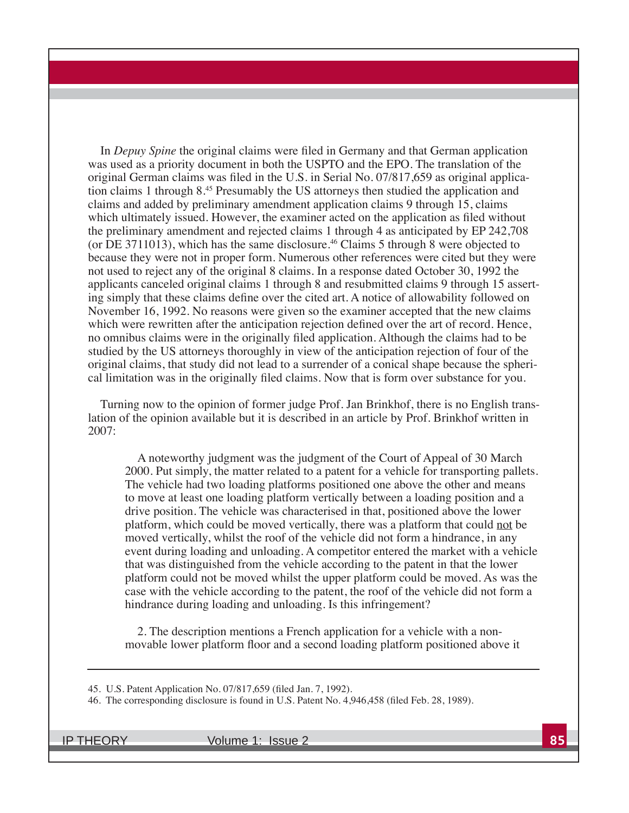In *Depuy Spine* the original claims were filed in Germany and that German application was used as a priority document in both the USPTO and the EPO. The translation of the original German claims was filed in the U.S. in Serial No.  $07/817,659$  as original application claims 1 through 8.45 Presumably the US attorneys then studied the application and claims and added by preliminary amendment application claims 9 through 15, claims which ultimately issued. However, the examiner acted on the application as filed without the preliminary amendment and rejected claims 1 through 4 as anticipated by EP 242,708 (or DE 3711013), which has the same disclosure.<sup>46</sup> Claims 5 through 8 were objected to because they were not in proper form. Numerous other references were cited but they were not used to reject any of the original 8 claims. In a response dated October 30, 1992 the applicants canceled original claims 1 through 8 and resubmitted claims 9 through 15 asserting simply that these claims define over the cited art. A notice of allowability followed on November 16, 1992. No reasons were given so the examiner accepted that the new claims which were rewritten after the anticipation rejection defined over the art of record. Hence, no omnibus claims were in the originally filed application. Although the claims had to be studied by the US attorneys thoroughly in view of the anticipation rejection of four of the original claims, that study did not lead to a surrender of a conical shape because the spherical limitation was in the originally filed claims. Now that is form over substance for you.

Turning now to the opinion of former judge Prof. Jan Brinkhof, there is no English translation of the opinion available but it is described in an article by Prof. Brinkhof written in 2007:

A noteworthy judgment was the judgment of the Court of Appeal of 30 March 2000. Put simply, the matter related to a patent for a vehicle for transporting pallets. The vehicle had two loading platforms positioned one above the other and means to move at least one loading platform vertically between a loading position and a drive position. The vehicle was characterised in that, positioned above the lower platform, which could be moved vertically, there was a platform that could not be moved vertically, whilst the roof of the vehicle did not form a hindrance, in any event during loading and unloading. A competitor entered the market with a vehicle that was distinguished from the vehicle according to the patent in that the lower platform could not be moved whilst the upper platform could be moved. As was the case with the vehicle according to the patent, the roof of the vehicle did not form a hindrance during loading and unloading. Is this infringement?

2. The description mentions a French application for a vehicle with a nonmovable lower platform floor and a second loading platform positioned above it

<sup>45.</sup> U.S. Patent Application No. 07/817,659 (filed Jan. 7, 1992).

<sup>46.</sup> The corresponding disclosure is found in U.S. Patent No. 4,946,458 (filed Feb. 28, 1989).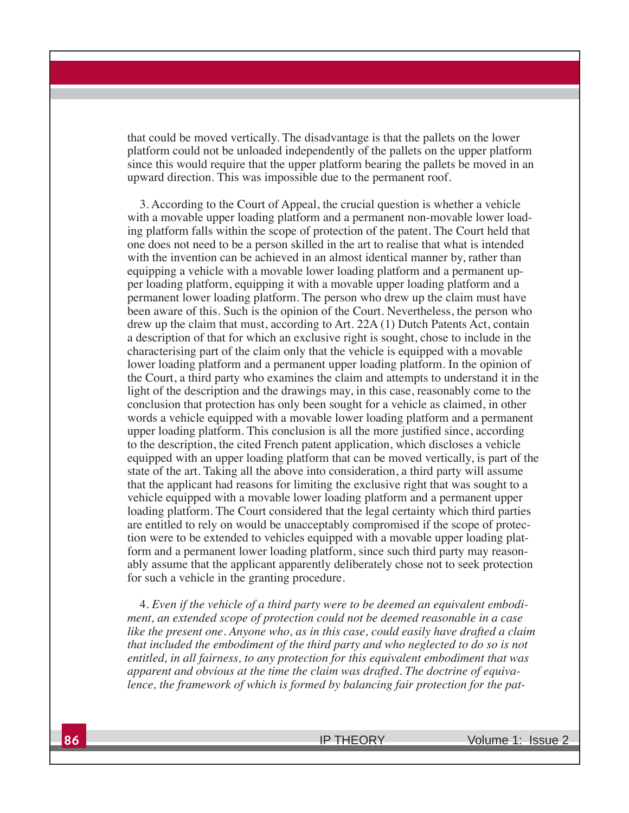that could be moved vertically. The disadvantage is that the pallets on the lower platform could not be unloaded independently of the pallets on the upper platform since this would require that the upper platform bearing the pallets be moved in an upward direction. This was impossible due to the permanent roof.

3. According to the Court of Appeal, the crucial question is whether a vehicle with a movable upper loading platform and a permanent non-movable lower loading platform falls within the scope of protection of the patent. The Court held that one does not need to be a person skilled in the art to realise that what is intended with the invention can be achieved in an almost identical manner by, rather than equipping a vehicle with a movable lower loading platform and a permanent upper loading platform, equipping it with a movable upper loading platform and a permanent lower loading platform. The person who drew up the claim must have been aware of this. Such is the opinion of the Court. Nevertheless, the person who drew up the claim that must, according to Art. 22A (1) Dutch Patents Act, contain a description of that for which an exclusive right is sought, chose to include in the characterising part of the claim only that the vehicle is equipped with a movable lower loading platform and a permanent upper loading platform. In the opinion of the Court, a third party who examines the claim and attempts to understand it in the light of the description and the drawings may, in this case, reasonably come to the conclusion that protection has only been sought for a vehicle as claimed, in other words a vehicle equipped with a movable lower loading platform and a permanent upper loading platform. This conclusion is all the more justified since, according to the description, the cited French patent application, which discloses a vehicle equipped with an upper loading platform that can be moved vertically, is part of the state of the art. Taking all the above into consideration, a third party will assume that the applicant had reasons for limiting the exclusive right that was sought to a vehicle equipped with a movable lower loading platform and a permanent upper loading platform. The Court considered that the legal certainty which third parties are entitled to rely on would be unacceptably compromised if the scope of protection were to be extended to vehicles equipped with a movable upper loading platform and a permanent lower loading platform, since such third party may reasonably assume that the applicant apparently deliberately chose not to seek protection for such a vehicle in the granting procedure.

4*. Even if the vehicle of a third party were to be deemed an equivalent embodiment, an extended scope of protection could not be deemed reasonable in a case like the present one. Anyone who, as in this case, could easily have drafted a claim that included the embodiment of the third party and who neglected to do so is not entitled, in all fairness, to any protection for this equivalent embodiment that was apparent and obvious at the time the claim was drafted. The doctrine of equivalence, the framework of which is formed by balancing fair protection for the pat-*